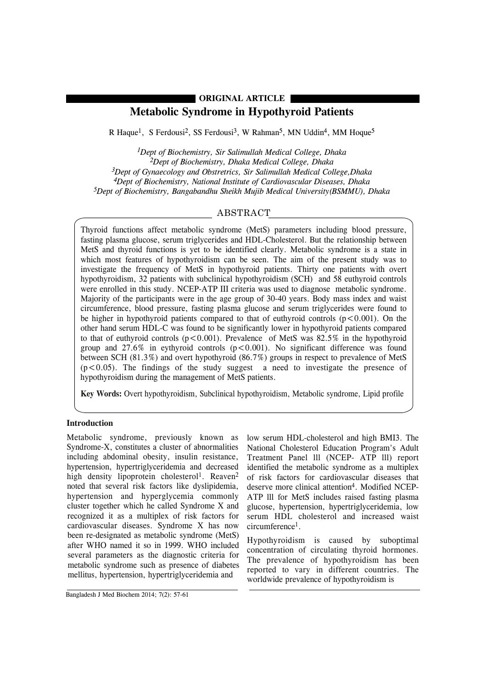# **Metabolic Syndrome in Hypothyroid Patients ORIGINAL ARTICLE**

R Haque<sup>1</sup>, S Ferdousi<sup>2</sup>, SS Ferdousi<sup>3</sup>, W Rahman<sup>5</sup>, MN Uddin<sup>4</sup>, MM Hoque<sup>5</sup>

*1Dept of Biochemistry, Sir Salimullah Medical College, Dhaka 2Dept of Biochemistry, Dhaka Medical College, Dhaka 3Dept of Gynaecology and Obstretrics, Sir Salimullah Medical College,Dhaka 4Dept of Biochemistry, National Institute of Cardiovascular Diseases, Dhaka 5Dept of Biochemistry, Bangabandhu Sheikh Mujib Medical University(BSMMU), Dhaka*

## ABSTRACT

Thyroid functions affect metabolic syndrome (MetS) parameters including blood pressure, fasting plasma glucose, serum triglycerides and HDL-Cholesterol. But the relationship between MetS and thyroid functions is yet to be identified clearly. Metabolic syndrome is a state in which most features of hypothyroidism can be seen. The aim of the present study was to investigate the frequency of MetS in hypothyroid patients. Thirty one patients with overt hypothyroidism, 32 patients with subclinical hypothyroidism (SCH) and 58 euthyroid controls were enrolled in this study. NCEP-ATP III criteria was used to diagnose metabolic syndrome. Majority of the participants were in the age group of 30-40 years. Body mass index and waist circumference, blood pressure, fasting plasma glucose and serum triglycerides were found to be higher in hypothyroid patients compared to that of euthyroid controls  $(p < 0.001)$ . On the other hand serum HDL-C was found to be significantly lower in hypothyroid patients compared to that of euthyroid controls  $(p<0.001)$ . Prevalence of MetS was 82.5% in the hypothyroid group and  $27.6\%$  in eythyroid controls ( $p < 0.001$ ). No significant difference was found between SCH (81.3%) and overt hypothyroid (86.7%) groups in respect to prevalence of MetS  $(p<0.05)$ . The findings of the study suggest a need to investigate the presence of hypothyroidism during the management of MetS patients.

**Key Words:** Overt hypothyroidism, Subclinical hypothyroidism, Metabolic syndrome, Lipid profile

### **Introduction**

Metabolic syndrome, previously known as Syndrome-X, constitutes a cluster of abnormalities including abdominal obesity, insulin resistance, hypertension, hypertriglyceridemia and decreased high density lipoprotein cholesterol<sup>1</sup>. Reaven<sup>2</sup> noted that several risk factors like dyslipidemia, hypertension and hyperglycemia commonly cluster together which he called Syndrome X and recognized it as a multiplex of risk factors for cardiovascular diseases. Syndrome X has now been re-designated as metabolic syndrome (MetS) after WHO named it so in 1999. WHO included several parameters as the diagnostic criteria for metabolic syndrome such as presence of diabetes mellitus, hypertension, hypertriglyceridemia and

low serum HDL-cholesterol and high BMI3. The National Cholesterol Education Program's Adult Treatment Panel lll (NCEP- ATP lll) report identified the metabolic syndrome as a multiplex of risk factors for cardiovascular diseases that deserve more clinical attention<sup>4</sup>. Modified NCEP-ATP lll for MetS includes raised fasting plasma glucose, hypertension, hypertriglyceridemia, low serum HDL cholesterol and increased waist circumference1.

Hypothyroidism is caused by suboptimal concentration of circulating thyroid hormones. The prevalence of hypothyroidism has been reported to vary in different countries. The worldwide prevalence of hypothyroidism is

Bangladesh J Med Biochem 2014; 7(2): 57-61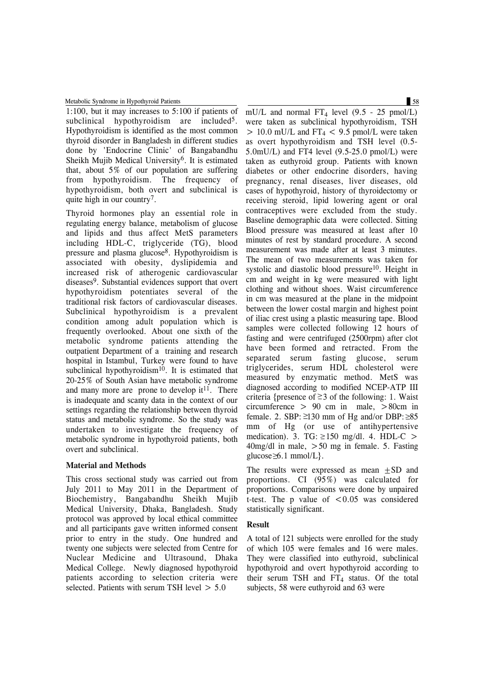Metabolic Syndrome in Hypothyroid Patients 58

1:100, but it may increases to 5:100 if patients of subclinical hypothyroidism are included<sup>5</sup>. Hypothyroidism is identified as the most common thyroid disorder in Bangladesh in different studies done by 'Endocrine Clinic' of Bangabandhu Sheikh Mujib Medical University<sup>6</sup>. It is estimated that, about 5% of our population are suffering from hypothyroidism. The frequency of hypothyroidism, both overt and subclinical is quite high in our country7.

Thyroid hormones play an essential role in regulating energy balance, metabolism of glucose and lipids and thus affect MetS parameters including HDL-C, triglyceride (TG), blood pressure and plasma glucose8. Hypothyroidism is associated with obesity, dyslipidemia and increased risk of atherogenic cardiovascular diseases<sup>9</sup>. Substantial evidences support that overt hypothyroidism potentiates several of the traditional risk factors of cardiovascular diseases. Subclinical hypothyroidism is a prevalent condition among adult population which is frequently overlooked. About one sixth of the metabolic syndrome patients attending the outpatient Department of a training and research hospital in Istambul, Turkey were found to have subclinical hypothyroidism<sup>10</sup>. It is estimated that 20-25% of South Asian have metabolic syndrome and many more are prone to develop it<sup>11</sup>. There is inadequate and scanty data in the context of our settings regarding the relationship between thyroid status and metabolic syndrome. So the study was undertaken to investigate the frequency of metabolic syndrome in hypothyroid patients, both overt and subclinical.

#### **Material and Methods**

This cross sectional study was carried out from July 2011 to May 2011 in the Department of Biochemistry, Bangabandhu Sheikh Mujib Medical University, Dhaka, Bangladesh. Study protocol was approved by local ethical committee and all participants gave written informed consent prior to entry in the study. One hundred and twenty one subjects were selected from Centre for Nuclear Medicine and Ultrasound, Dhaka Medical College. Newly diagnosed hypothyroid patients according to selection criteria were selected. Patients with serum TSH level  $> 5.0$ 

mU/L and normal  $FT<sub>4</sub>$  level (9.5 - 25 pmol/L) were taken as subclinical hypothyroidism, TSH  $> 10.0$  mU/L and FT<sub>4</sub> < 9.5 pmol/L were taken as overt hypothyroidism and TSH level (0.5- 5.0mU/L) and FT4 level (9.5-25.0 pmol/L) were taken as euthyroid group. Patients with known diabetes or other endocrine disorders, having pregnancy, renal diseases, liver diseases, old cases of hypothyroid, history of thyroidectomy or receiving steroid, lipid lowering agent or oral contraceptives were excluded from the study. Baseline demographic data were collected. Sitting Blood pressure was measured at least after 10 minutes of rest by standard procedure. A second measurement was made after at least 3 minutes. The mean of two measurements was taken for systolic and diastolic blood pressure<sup>10</sup>. Height in cm and weight in kg were measured with light clothing and without shoes. Waist circumference in cm was measured at the plane in the midpoint between the lower costal margin and highest point of iliac crest using a plastic measuring tape. Blood samples were collected following 12 hours of fasting and were centrifuged (2500rpm) after clot have been formed and retracted. From the separated serum fasting glucose, serum triglycerides, serum HDL cholesterol were measured by enzymatic method. MetS was diagnosed according to modified NCEP-ATP III criteria {presence of  $\geq$  3 of the following: 1. Waist circumference  $> 90$  cm in male,  $> 80$ cm in female. 2. SBP:  $\geq 130$  mm of Hg and/or DBP:  $\geq 85$ mm of Hg (or use of antihypertensive medication). 3. TG:  $\geq$ 150 mg/dl. 4. HDL-C > 40mg/dl in male, >50 mg in female. 5. Fasting  $glucose \geq 6.1$  mmol/L.

The results were expressed as mean  $\pm$ SD and proportions. CI (95%) was calculated for proportions. Comparisons were done by unpaired t-test. The p value of  $\leq 0.05$  was considered statistically significant.

#### **Result**

A total of 121 subjects were enrolled for the study of which 105 were females and 16 were males. They were classified into euthyroid, subclinical hypothyroid and overt hypothyroid according to their serum TSH and  $FT_4$  status. Of the total subjects, 58 were euthyroid and 63 were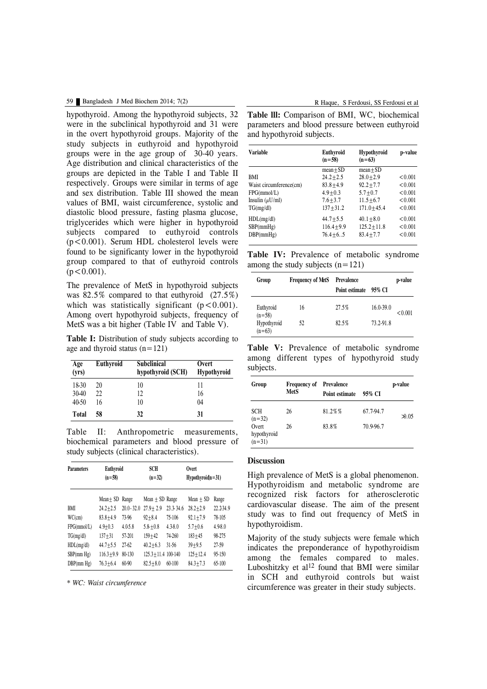#### 59 Bangladesh J Med Biochem 2014; 7(2) R Haque, S Ferdousi, SS Ferdousi et al

hypothyroid. Among the hypothyroid subjects, 32 were in the subclinical hypothyroid and 31 were in the overt hypothyroid groups. Majority of the study subjects in euthyroid and hypothyroid groups were in the age group of 30-40 years. Age distribution and clinical characteristics of the groups are depicted in the Table I and Table II respectively. Groups were similar in terms of age and sex distribution. Table III showed the mean values of BMI, waist circumference, systolic and diastolic blood pressure, fasting plasma glucose, triglycerides which were higher in hypothyroid subjects compared to euthyroid controls  $(p<0.001)$ . Serum HDL cholesterol levels were found to be significanty lower in the hypothyroid group compared to that of euthyroid controls  $(p < 0.001)$ .

The prevalence of MetS in hypothyroid subjects was 82.5% compared to that euthyroid (27.5%) which was statistically significant  $(p < 0.001)$ . Among overt hypothyroid subjects, frequency of MetS was a bit higher (Table IV and Table V).

**Table I:** Distribution of study subjects according to age and thyroid status  $(n=121)$ 

| Age<br>(yrs) | Euthyroid | <b>Subclinical</b><br>hypothyroid (SCH) | Overt<br><b>Hypothyroid</b> |
|--------------|-----------|-----------------------------------------|-----------------------------|
| 18-30        | 20        | 10                                      | 11                          |
| 30-40        | 22        | 12                                      | 16                          |
| 40-50        | 16        | 10                                      | 04                          |
| Total        | 58        | 32                                      | 31                          |

Table II: Anthropometric measurements, biochemical parameters and blood pressure of study subjects (clinical characteristics).

| <b>Parameters</b> | Euthyroid<br>$(n=58)$ |               | SCH<br>$(n=32)$      |             | Overt<br>$Hypothyroidn = 31$ |           |
|-------------------|-----------------------|---------------|----------------------|-------------|------------------------------|-----------|
|                   | Mean+ SD              | Range         | Mean $\pm$ SD Range  |             | $Mean + SD$                  | Range     |
| BMI               | $24.2 + 2.5$          | $20.0 - 32.0$ | $27.9 + 2.9$         | 23.3-34.6   | $28.2 + 2.9$                 | 22.2-34.9 |
| WC(cm)            | $83.8 + 4.9$          | 73-96         | $92 + 8.4$           | 75-106      | $92.1 + 7.9$                 | 78-105    |
| FPG(mmol/L)       | $4.9 + 0.3$           | $4.0 - 5.8$   | $5.8 + 0.8$          | $4.3 - 8.0$ | $5.7 + 0.6$                  | 4.9-8.0   |
| TG(mg/dl)         | $137 + 31$            | 57-201        | $159 + 42$           | 74-260      | $183 + 45$                   | 98-275    |
| HDL(mg/dl)        | $44.7 + 5.5$          | $27-62$       | $40.2 + 6.3$         | 31-56       | $39 + 9.5$                   | 27-59     |
| SBP(mm Hg)        | $116.3 + 9.9$         | $80 - 130$    | 125.3 + 11.4 100-140 |             | $125 + 12.4$                 | 95-150    |
| DBP(mm Hg)        | $76.3 + 6.4$          | $60-90$       | $82.5 + 8.0$         | $60-100$    | $84.3 + 7.3$                 | $65-100$  |

*\* WC: Waist circumference*

**Table lll:** Comparison of BMI, WC, biochemical parameters and blood pressure between euthyroid and hypothyroid subjects.

| <b>Variable</b>         | Euthyroid<br>$(n=58)$ | Hypothyroid<br>$(n=63)$ | p-value |
|-------------------------|-----------------------|-------------------------|---------|
|                         | $mean + SD$           | $mean + SD$             |         |
| BMI                     | $24.2 + 2.5$          | $28.0 + 2.9$            | < 0.001 |
| Waist circumference(cm) | $83.8 + 4.9$          | $92.2 + 7.7$            | < 0.001 |
| FPG(mmol/L)             | $4.9 + 0.3$           | $5.7 + 0.7$             | < 0.001 |
| Insulin $(\mu U/ml)$    | $7.6 + 3.7$           | $11.5 + 6.7$            | < 0.001 |
| TG(mg/dl)               | $137 + 31.2$          | $171.0 + 45.4$          | < 0.001 |
| HDL(mg/dl)              | $44.7 + 5.5$          | $40.1 + 8.0$            | < 0.001 |
| SBP(mmHg)               | $116.4 + 9.9$         | $125.2 + 11.8$          | < 0.001 |
| DBP(mmHg)               | $76.4 + 6.5$          | $83.4 + 7.7$            | < 0.001 |

**Table IV:** Prevalence of metabolic syndrome among the study subjects  $(n=121)$ 

| Group                   | <b>Frequency of MetS</b> | <b>Prevalence</b><br>Point estimate | 95% CI        | p-value |
|-------------------------|--------------------------|-------------------------------------|---------------|---------|
| Euthyroid<br>$(n=58)$   | 16                       | 27.5%                               | $16.0 - 39.0$ | < 0.001 |
| Hypothyroid<br>$(n=63)$ | 52                       | 82.5%                               | 73.2-91.8     |         |

**Table V:** Prevalence of metabolic syndrome among different types of hypothyroid study subjects.

| Group                            | <b>Frequency of</b> | Prevalence     | p-value   |                |
|----------------------------------|---------------------|----------------|-----------|----------------|
|                                  | <b>MetS</b>         | Point estimate | 95% CI    |                |
| <b>SCH</b><br>$(n=32)$           | 26                  | 81.2%%         | 67.7-94.7 | $\lambda$ 0.05 |
| Overt<br>hypothyroid<br>$(n=31)$ | 26                  | 83.8%          | 70.9-96.7 |                |

#### **Discussion**

High prevalence of MetS is a global phenomenon. Hypothyroidism and metabolic syndrome are recognized risk factors for atherosclerotic cardiovascular disease. The aim of the present study was to find out frequency of MetS in hypothyroidism.

Majority of the study subjects were female which indicates the preponderance of hypothyroidism among the females compared to males. Luboshitzky et al<sup>12</sup> found that BMI were similar in SCH and euthyroid controls but waist circumference was greater in their study subjects.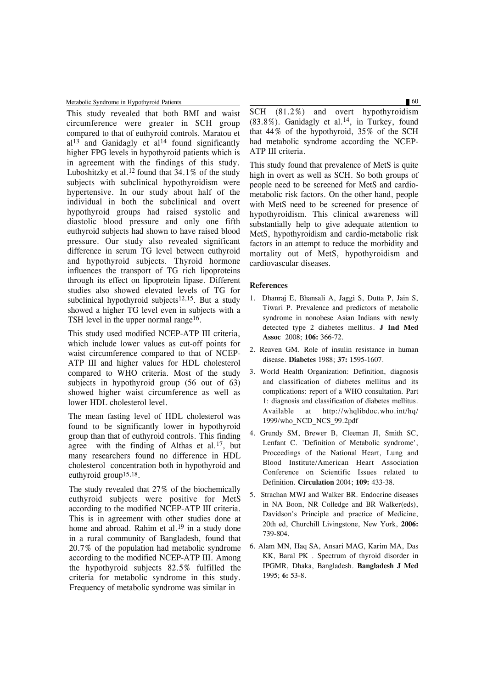Metabolic Syndrome in Hypothyroid Patients 60 and 100 km metabolic Syndrome in Hypothyroid Patients 60 and 100 km metabolic Syndrome in Hypothyroid Patients 60 and 100 km metabolic Syndrome in Hypothyroid Patients 60 and 1

This study revealed that both BMI and waist circumference were greater in SCH group compared to that of euthyroid controls. Maratou et  $al<sup>13</sup>$  and Ganidagly et al<sup>14</sup> found significantly higher FPG levels in hypothyroid patients which is in agreement with the findings of this study. Luboshitzky et al.<sup>12</sup> found that  $34.1\%$  of the study subjects with subclinical hypothyroidism were hypertensive. In our study about half of the individual in both the subclinical and overt hypothyroid groups had raised systolic and diastolic blood pressure and only one fifth euthyroid subjects had shown to have raised blood pressure. Our study also revealed significant difference in serum TG level between euthyroid and hypothyroid subjects. Thyroid hormone influences the transport of TG rich lipoproteins through its effect on lipoprotein lipase. Different studies also showed elevated levels of TG for subclinical hypothyroid subjects<sup>12,15</sup>. But a study showed a higher TG level even in subjects with a TSH level in the upper normal range<sup>16</sup>.

This study used modified NCEP-ATP III criteria, which include lower values as cut-off points for waist circumference compared to that of NCEP-ATP III and higher values for HDL cholesterol compared to WHO criteria. Most of the study subjects in hypothyroid group (56 out of 63) showed higher waist circumference as well as lower HDL cholesterol level.

The mean fasting level of HDL cholesterol was found to be significantly lower in hypothyroid group than that of euthyroid controls. This finding agree with the finding of Althas et al.<sup>17</sup>, but many researchers found no difference in HDL cholesterol concentration both in hypothyroid and euthyroid group15,18.

The study revealed that 27% of the biochemically euthyroid subjects were positive for MetS according to the modified NCEP-ATP III criteria. This is in agreement with other studies done at home and abroad. Rahim et al.<sup>19</sup> in a study done in a rural community of Bangladesh, found that 20.7% of the population had metabolic syndrome according to the modified NCEP-ATP III. Among the hypothyroid subjects 82.5% fulfilled the criteria for metabolic syndrome in this study. Frequency of metabolic syndrome was similar in

SCH (81.2%) and overt hypothyroidism  $(83.8\%)$ . Ganidagly et al.<sup>14</sup>, in Turkey, found that 44% of the hypothyroid, 35% of the SCH had metabolic syndrome according the NCEP-ATP III criteria.

This study found that prevalence of MetS is quite high in overt as well as SCH. So both groups of people need to be screened for MetS and cardiometabolic risk factors. On the other hand, people with MetS need to be screened for presence of hypothyroidism. This clinical awareness will substantially help to give adequate attention to MetS, hypothyroidism and cardio-metabolic risk factors in an attempt to reduce the morbidity and mortality out of MetS, hypothyroidism and cardiovascular diseases.

#### **References**

- 1. Dhanraj E, Bhansali A, Jaggi S, Dutta P, Jain S, Tiwari P. Prevalence and predictors of metabolic syndrome in nonobese Asian Indians with newly detected type 2 diabetes mellitus. **J Ind Med Assoc** 2008; **106:** 366-72.
- 2. Reaven GM. Role of insulin resistance in human disease. **Diabetes** 1988; **37:** 1595-1607.
- 3. World Health Organization: Definition, diagnosis and classification of diabetes mellitus and its complications: report of a WHO consultation. Part 1: diagnosis and classification of diabetes mellitus. Available at http://whqlibdoc.who.int/hq/ 1999/who\_NCD\_NCS\_99.2pdf
- 4. Grundy SM, Brewer B, Cleeman JI, Smith SC, Lenfant C. 'Definition of Metabolic syndrome', Proceedings of the National Heart, Lung and Blood Institute/American Heart Association Conference on Scientific Issues related to Definition. **Circulation** 2004; **109:** 433-38.
- 5. Strachan MWJ and Walker BR. Endocrine diseases in NA Boon, NR Colledge and BR Walker(eds), Davidson's Principle and practice of Medicine, 20th ed, Churchill Livingstone, New York, **2006:** 739-804.
- 6. Alam MN, Haq SA, Ansari MAG, Karim MA, Das KK, Baral PK . Spectrum of thyroid disorder in IPGMR, Dhaka, Bangladesh. **Bangladesh J Med** 1995; **6:** 53-8.